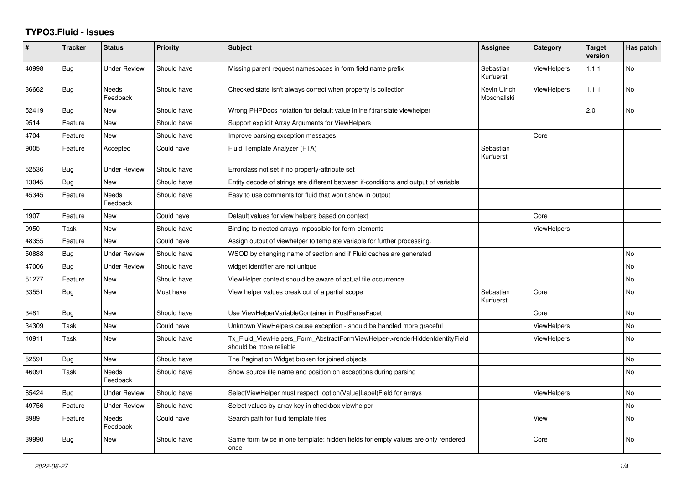## **TYPO3.Fluid - Issues**

| #     | <b>Tracker</b> | <b>Status</b>            | <b>Priority</b> | <b>Subject</b>                                                                                         | Assignee                    | Category           | <b>Target</b><br>version | Has patch |
|-------|----------------|--------------------------|-----------------|--------------------------------------------------------------------------------------------------------|-----------------------------|--------------------|--------------------------|-----------|
| 40998 | <b>Bug</b>     | <b>Under Review</b>      | Should have     | Missing parent request namespaces in form field name prefix                                            | Sebastian<br>Kurfuerst      | <b>ViewHelpers</b> | 1.1.1                    | No        |
| 36662 | <b>Bug</b>     | Needs<br>Feedback        | Should have     | Checked state isn't always correct when property is collection                                         | Kevin Ulrich<br>Moschallski | <b>ViewHelpers</b> | 1.1.1                    | No        |
| 52419 | <b>Bug</b>     | New                      | Should have     | Wrong PHPDocs notation for default value inline f:translate viewhelper                                 |                             |                    | 2.0                      | <b>No</b> |
| 9514  | Feature        | New                      | Should have     | Support explicit Array Arguments for ViewHelpers                                                       |                             |                    |                          |           |
| 4704  | Feature        | <b>New</b>               | Should have     | Improve parsing exception messages                                                                     |                             | Core               |                          |           |
| 9005  | Feature        | Accepted                 | Could have      | Fluid Template Analyzer (FTA)                                                                          | Sebastian<br>Kurfuerst      |                    |                          |           |
| 52536 | <b>Bug</b>     | Under Review             | Should have     | Errorclass not set if no property-attribute set                                                        |                             |                    |                          |           |
| 13045 | <b>Bug</b>     | New                      | Should have     | Entity decode of strings are different between if-conditions and output of variable                    |                             |                    |                          |           |
| 45345 | Feature        | <b>Needs</b><br>Feedback | Should have     | Easy to use comments for fluid that won't show in output                                               |                             |                    |                          |           |
| 1907  | Feature        | New                      | Could have      | Default values for view helpers based on context                                                       |                             | Core               |                          |           |
| 9950  | Task           | New                      | Should have     | Binding to nested arrays impossible for form-elements                                                  |                             | <b>ViewHelpers</b> |                          |           |
| 48355 | Feature        | <b>New</b>               | Could have      | Assign output of viewhelper to template variable for further processing.                               |                             |                    |                          |           |
| 50888 | <b>Bug</b>     | <b>Under Review</b>      | Should have     | WSOD by changing name of section and if Fluid caches are generated                                     |                             |                    |                          | <b>No</b> |
| 47006 | Bug            | <b>Under Review</b>      | Should have     | widget identifier are not unique                                                                       |                             |                    |                          | <b>No</b> |
| 51277 | Feature        | New                      | Should have     | ViewHelper context should be aware of actual file occurrence                                           |                             |                    |                          | No        |
| 33551 | Bug            | New                      | Must have       | View helper values break out of a partial scope                                                        | Sebastian<br>Kurfuerst      | Core               |                          | <b>No</b> |
| 3481  | Bug            | <b>New</b>               | Should have     | Use ViewHelperVariableContainer in PostParseFacet                                                      |                             | Core               |                          | <b>No</b> |
| 34309 | Task           | New                      | Could have      | Unknown ViewHelpers cause exception - should be handled more graceful                                  |                             | <b>ViewHelpers</b> |                          | No        |
| 10911 | Task           | <b>New</b>               | Should have     | Tx_Fluid_ViewHelpers_Form_AbstractFormViewHelper->renderHiddenIdentityField<br>should be more reliable |                             | <b>ViewHelpers</b> |                          | <b>No</b> |
| 52591 | Bug            | <b>New</b>               | Should have     | The Pagination Widget broken for joined objects                                                        |                             |                    |                          | <b>No</b> |
| 46091 | Task           | Needs<br>Feedback        | Should have     | Show source file name and position on exceptions during parsing                                        |                             |                    |                          | <b>No</b> |
| 65424 | <b>Bug</b>     | <b>Under Review</b>      | Should have     | SelectViewHelper must respect option(Value Label)Field for arrays                                      |                             | <b>ViewHelpers</b> |                          | <b>No</b> |
| 49756 | Feature        | <b>Under Review</b>      | Should have     | Select values by array key in checkbox viewhelper                                                      |                             |                    |                          | <b>No</b> |
| 8989  | Feature        | <b>Needs</b><br>Feedback | Could have      | Search path for fluid template files                                                                   |                             | View               |                          | <b>No</b> |
| 39990 | <b>Bug</b>     | New                      | Should have     | Same form twice in one template: hidden fields for empty values are only rendered<br>once              |                             | Core               |                          | <b>No</b> |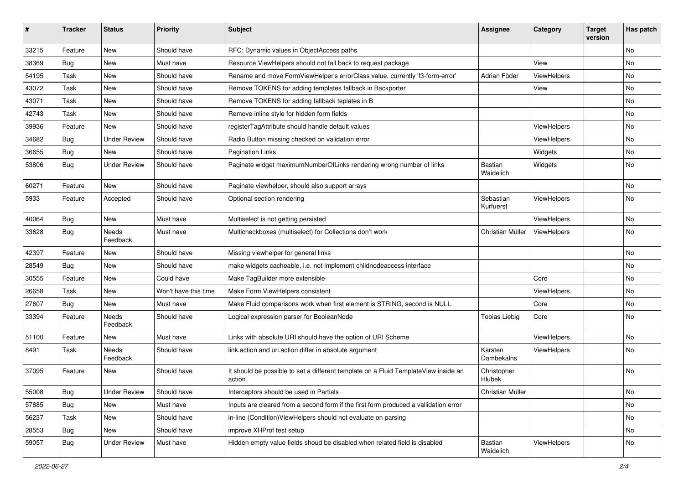| #     | <b>Tracker</b> | <b>Status</b>       | <b>Priority</b>      | Subject                                                                                       | <b>Assignee</b>        | Category    | <b>Target</b><br>version | Has patch |
|-------|----------------|---------------------|----------------------|-----------------------------------------------------------------------------------------------|------------------------|-------------|--------------------------|-----------|
| 33215 | Feature        | New                 | Should have          | RFC: Dynamic values in ObjectAccess paths                                                     |                        |             |                          | <b>No</b> |
| 38369 | Bug            | New                 | Must have            | Resource ViewHelpers should not fall back to request package                                  |                        | View        |                          | No        |
| 54195 | Task           | New                 | Should have          | Rename and move FormViewHelper's errorClass value, currently 'f3-form-error'                  | Adrian Föder           | ViewHelpers |                          | No        |
| 43072 | Task           | <b>New</b>          | Should have          | Remove TOKENS for adding templates fallback in Backporter                                     |                        | View        |                          | <b>No</b> |
| 43071 | Task           | New                 | Should have          | Remove TOKENS for adding fallback teplates in B                                               |                        |             |                          | No        |
| 42743 | Task           | <b>New</b>          | Should have          | Remove inline style for hidden form fields                                                    |                        |             |                          | No        |
| 39936 | Feature        | New                 | Should have          | registerTagAttribute should handle default values                                             |                        | ViewHelpers |                          | No        |
| 34682 | Bug            | <b>Under Review</b> | Should have          | Radio Button missing checked on validation error                                              |                        | ViewHelpers |                          | No        |
| 36655 | Bug            | New                 | Should have          | <b>Pagination Links</b>                                                                       |                        | Widgets     |                          | No        |
| 53806 | Bug            | <b>Under Review</b> | Should have          | Paginate widget maximumNumberOfLinks rendering wrong number of links                          | Bastian<br>Waidelich   | Widgets     |                          | <b>No</b> |
| 60271 | Feature        | <b>New</b>          | Should have          | Paginate viewhelper, should also support arrays                                               |                        |             |                          | <b>No</b> |
| 5933  | Feature        | Accepted            | Should have          | Optional section rendering                                                                    | Sebastian<br>Kurfuerst | ViewHelpers |                          | No        |
| 40064 | Bug            | New                 | Must have            | Multiselect is not getting persisted                                                          |                        | ViewHelpers |                          | No        |
| 33628 | Bug            | Needs<br>Feedback   | Must have            | Multicheckboxes (multiselect) for Collections don't work                                      | Christian Müller       | ViewHelpers |                          | <b>No</b> |
| 42397 | Feature        | New                 | Should have          | Missing viewhelper for general links                                                          |                        |             |                          | No        |
| 28549 | Bug            | New                 | Should have          | make widgets cacheable, i.e. not implement childnodeaccess interface                          |                        |             |                          | No        |
| 30555 | Feature        | <b>New</b>          | Could have           | Make TagBuilder more extensible                                                               |                        | Core        |                          | No        |
| 26658 | Task           | New                 | Won't have this time | Make Form ViewHelpers consistent                                                              |                        | ViewHelpers |                          | No        |
| 27607 | Bug            | New                 | Must have            | Make Fluid comparisons work when first element is STRING, second is NULL.                     |                        | Core        |                          | No        |
| 33394 | Feature        | Needs<br>Feedback   | Should have          | Logical expression parser for BooleanNode                                                     | <b>Tobias Liebig</b>   | Core        |                          | No        |
| 51100 | Feature        | New                 | Must have            | Links with absolute URI should have the option of URI Scheme                                  |                        | ViewHelpers |                          | <b>No</b> |
| 8491  | Task           | Needs<br>Feedback   | Should have          | link.action and uri.action differ in absolute argument                                        | Karsten<br>Dambekalns  | ViewHelpers |                          | <b>No</b> |
| 37095 | Feature        | New                 | Should have          | It should be possible to set a different template on a Fluid TemplateView inside an<br>action | Christopher<br>Hlubek  |             |                          | No        |
| 55008 | <b>Bug</b>     | <b>Under Review</b> | Should have          | Interceptors should be used in Partials                                                       | Christian Müller       |             |                          | No        |
| 57885 | <b>Bug</b>     | New                 | Must have            | Inputs are cleared from a second form if the first form produced a vallidation error          |                        |             |                          | No        |
| 56237 | Task           | New                 | Should have          | in-line (Condition) ViewHelpers should not evaluate on parsing                                |                        |             |                          | No        |
| 28553 | <b>Bug</b>     | New                 | Should have          | improve XHProf test setup                                                                     |                        |             |                          | No        |
| 59057 | Bug            | <b>Under Review</b> | Must have            | Hidden empty value fields shoud be disabled when related field is disabled                    | Bastian<br>Waidelich   | ViewHelpers |                          | No        |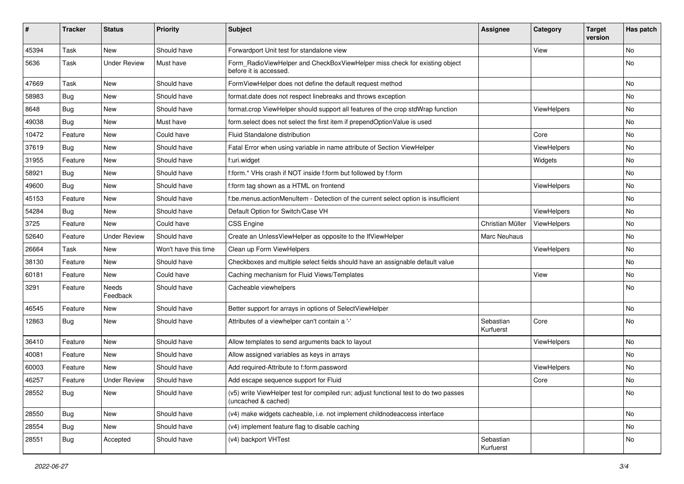| #     | <b>Tracker</b> | <b>Status</b>       | <b>Priority</b>      | Subject                                                                                                     | <b>Assignee</b>        | Category    | <b>Target</b><br>version | Has patch |
|-------|----------------|---------------------|----------------------|-------------------------------------------------------------------------------------------------------------|------------------------|-------------|--------------------------|-----------|
| 45394 | Task           | New                 | Should have          | Forwardport Unit test for standalone view                                                                   |                        | View        |                          | <b>No</b> |
| 5636  | Task           | <b>Under Review</b> | Must have            | Form_RadioViewHelper and CheckBoxViewHelper miss check for existing object<br>before it is accessed.        |                        |             |                          | No        |
| 47669 | Task           | <b>New</b>          | Should have          | FormViewHelper does not define the default request method                                                   |                        |             |                          | <b>No</b> |
| 58983 | Bug            | New                 | Should have          | format.date does not respect linebreaks and throws exception                                                |                        |             |                          | No        |
| 8648  | Bug            | New                 | Should have          | format.crop ViewHelper should support all features of the crop stdWrap function                             |                        | ViewHelpers |                          | No        |
| 49038 | Bug            | New                 | Must have            | form.select does not select the first item if prependOptionValue is used                                    |                        |             |                          | No        |
| 10472 | Feature        | <b>New</b>          | Could have           | Fluid Standalone distribution                                                                               |                        | Core        |                          | No        |
| 37619 | Bug            | New                 | Should have          | Fatal Error when using variable in name attribute of Section ViewHelper                                     |                        | ViewHelpers |                          | No        |
| 31955 | Feature        | New                 | Should have          | f:uri.widget                                                                                                |                        | Widgets     |                          | No        |
| 58921 | Bug            | New                 | Should have          | f:form.* VHs crash if NOT inside f:form but followed by f:form                                              |                        |             |                          | No        |
| 49600 | Bug            | New                 | Should have          | f:form tag shown as a HTML on frontend                                                                      |                        | ViewHelpers |                          | No        |
| 45153 | Feature        | New                 | Should have          | f:be.menus.actionMenuItem - Detection of the current select option is insufficient                          |                        |             |                          | No        |
| 54284 | Bug            | New                 | Should have          | Default Option for Switch/Case VH                                                                           |                        | ViewHelpers |                          | No        |
| 3725  | Feature        | New                 | Could have           | CSS Engine                                                                                                  | Christian Müller       | ViewHelpers |                          | No        |
| 52640 | Feature        | <b>Under Review</b> | Should have          | Create an UnlessViewHelper as opposite to the IfViewHelper                                                  | Marc Neuhaus           |             |                          | No        |
| 26664 | Task           | New                 | Won't have this time | Clean up Form ViewHelpers                                                                                   |                        | ViewHelpers |                          | No        |
| 38130 | Feature        | New                 | Should have          | Checkboxes and multiple select fields should have an assignable default value                               |                        |             |                          | No        |
| 60181 | Feature        | New                 | Could have           | Caching mechanism for Fluid Views/Templates                                                                 |                        | View        |                          | <b>No</b> |
| 3291  | Feature        | Needs<br>Feedback   | Should have          | Cacheable viewhelpers                                                                                       |                        |             |                          | No        |
| 46545 | Feature        | New                 | Should have          | Better support for arrays in options of SelectViewHelper                                                    |                        |             |                          | No        |
| 12863 | Bug            | New                 | Should have          | Attributes of a viewhelper can't contain a '-'                                                              | Sebastian<br>Kurfuerst | Core        |                          | <b>No</b> |
| 36410 | Feature        | <b>New</b>          | Should have          | Allow templates to send arguments back to layout                                                            |                        | ViewHelpers |                          | No        |
| 40081 | Feature        | New                 | Should have          | Allow assigned variables as keys in arrays                                                                  |                        |             |                          | No        |
| 60003 | Feature        | <b>New</b>          | Should have          | Add required-Attribute to f:form.password                                                                   |                        | ViewHelpers |                          | <b>No</b> |
| 46257 | Feature        | <b>Under Review</b> | Should have          | Add escape sequence support for Fluid                                                                       |                        | Core        |                          | No        |
| 28552 | <b>Bug</b>     | New                 | Should have          | (v5) write ViewHelper test for compiled run; adjust functional test to do two passes<br>(uncached & cached) |                        |             |                          | No        |
| 28550 | <b>Bug</b>     | New                 | Should have          | (v4) make widgets cacheable, i.e. not implement childnodeaccess interface                                   |                        |             |                          | No        |
| 28554 | Bug            | New                 | Should have          | (v4) implement feature flag to disable caching                                                              |                        |             |                          | No        |
| 28551 | <b>Bug</b>     | Accepted            | Should have          | (v4) backport VHTest                                                                                        | Sebastian<br>Kurfuerst |             |                          | No        |